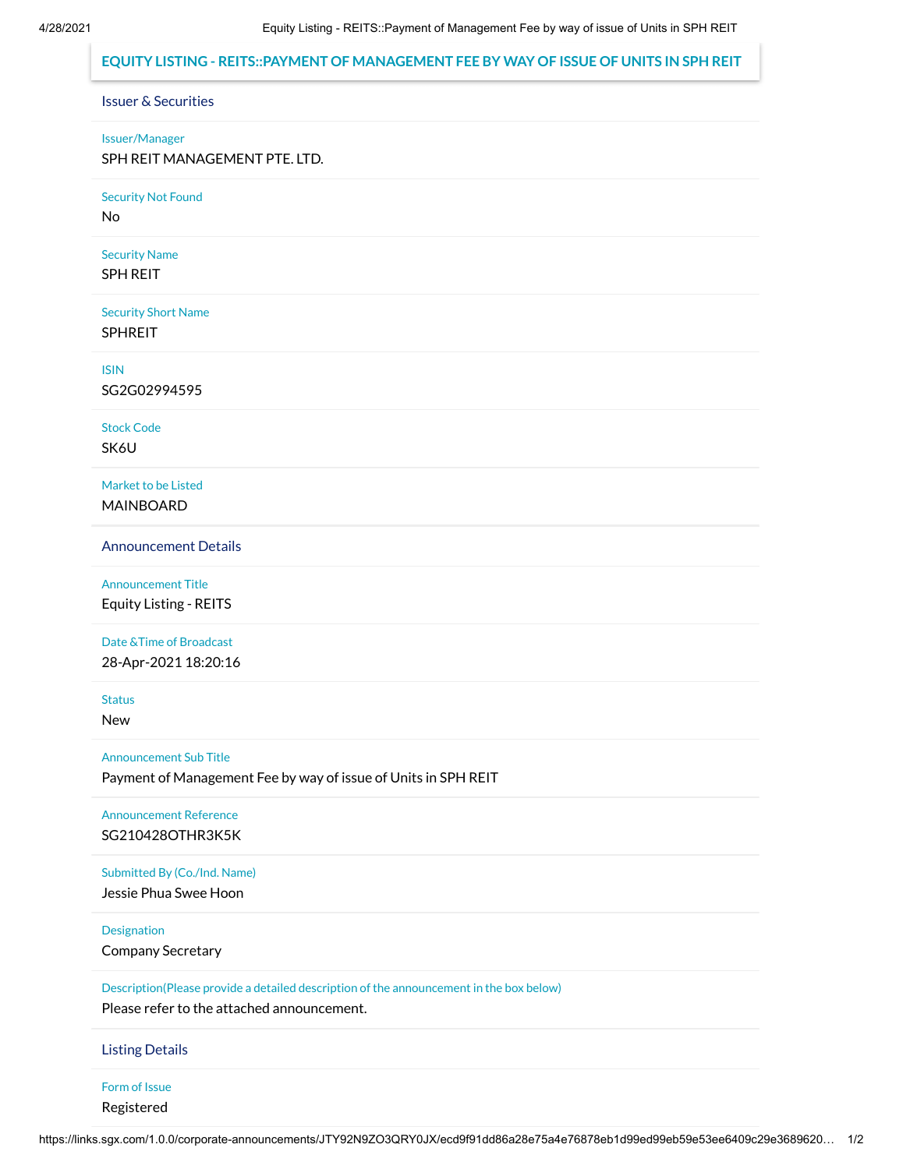### **EQUITY LISTING - REITS::PAYMENT OF MANAGEMENT FEE BY WAY OF ISSUE OF UNITS IN SPH REIT**

### Issuer & Securities

#### Issuer/Manager

SPH REIT MANAGEMENT PTE. LTD.

Security Not Found

No

Security Name SPH REIT

Security Short Name SPHREIT

ISIN

SG2G02994595

Stock Code

SK6U

Market to be Listed MAINBOARD

Announcement Details

Announcement Title Equity Listing - REITS

Date &Time of Broadcast

28-Apr-2021 18:20:16

Status

New

Announcement Sub Title

Payment of Management Fee by way of issue of Units in SPH REIT

Announcement Reference SG210428OTHR3K5K

Submitted By (Co./Ind. Name)

Jessie Phua Swee Hoon

**Designation** 

Company Secretary

Description(Please provide a detailed description of the announcement in the box below)

Please refer to the attached announcement.

Listing Details

Form of Issue

Registered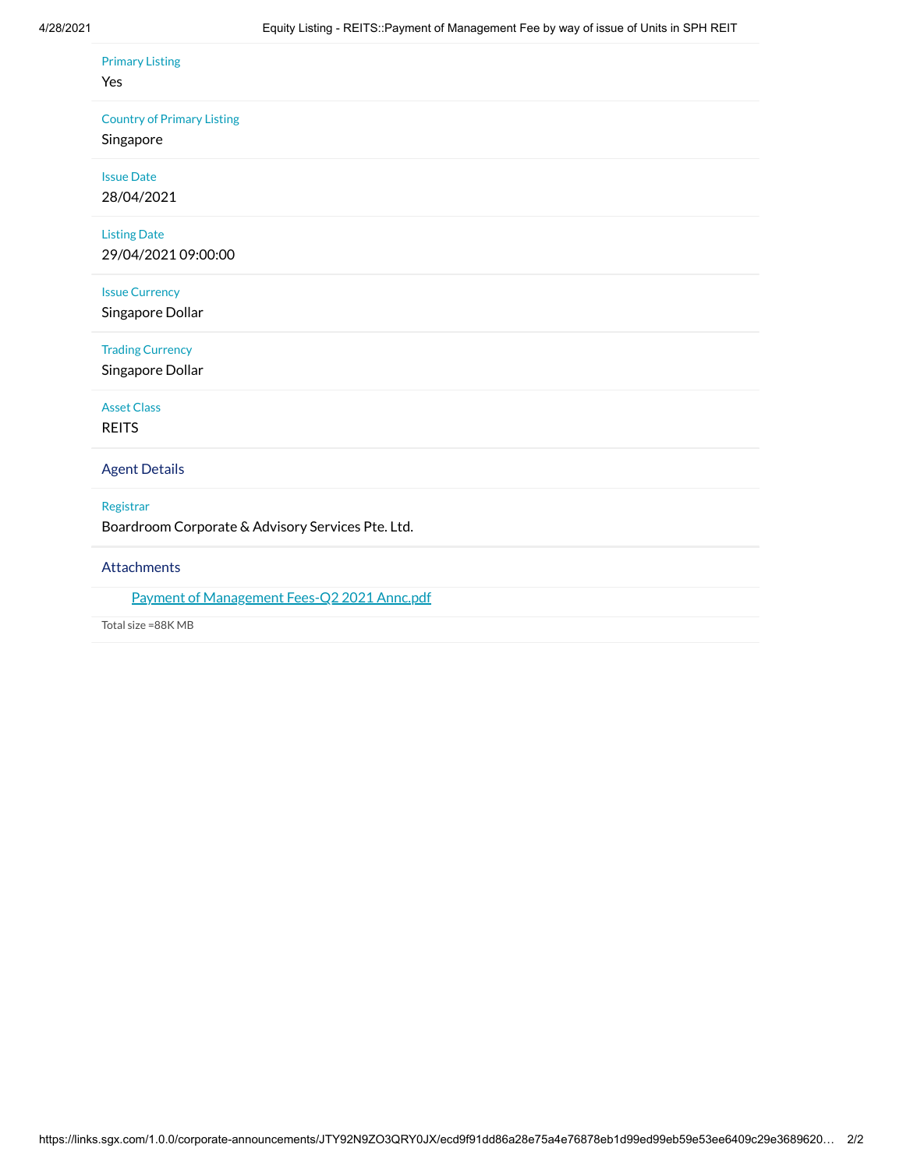#### Primary Listing

#### Yes

#### Country of Primary Listing

# Singapore

Issue Date 28/04/2021

## Listing Date

29/04/2021 09:00:00

### Issue Currency

Singapore Dollar

## Trading Currency

Singapore Dollar

### Asset Class

REITS

### Agent Details

#### Registrar

Boardroom Corporate & Advisory Services Pte. Ltd.

### Attachments

### Payment of [Management Fees-Q2](https://links.sgx.com/1.0.0/corporate-announcements/JTY92N9ZO3QRY0JX/663538_Payment%20of%20Management%20Fees-Q2%202021%20Annc.pdf) 2021 Annc.pdf

Total size =88K MB